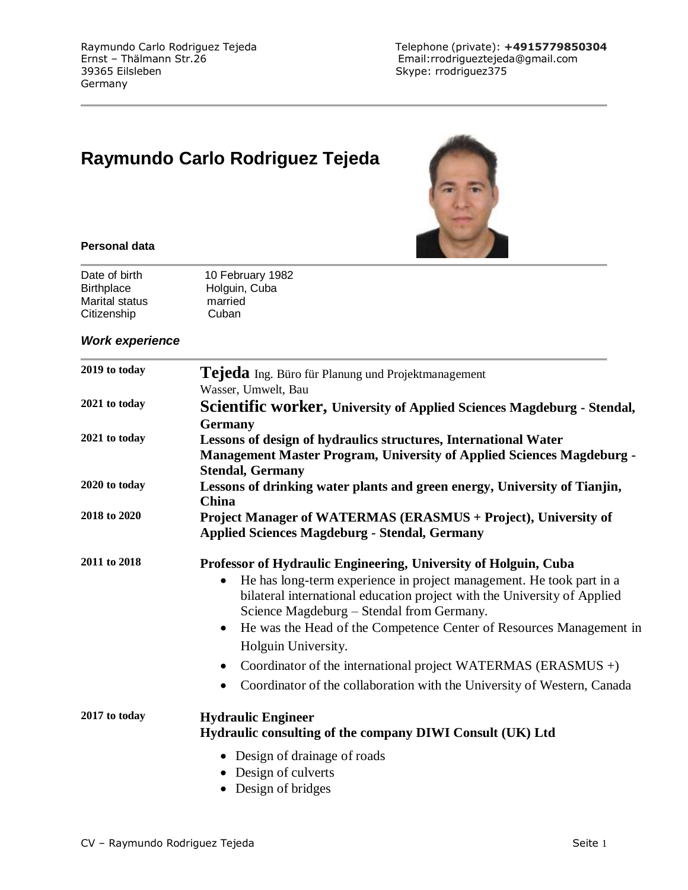# **Raymundo Carlo Rodriguez Tejeda**



#### **Personal data**

| Date of birth     | 10 February 1982 |
|-------------------|------------------|
| <b>Birthplace</b> | Holguin, Cuba    |
| Marital status    | married          |
| Citizenship       | Cuban            |

#### *Work experience*

| 2019 to today | Tejeda Ing. Büro für Planung und Projektmanagement                                                                                                                                                                                                                                                                                                                                                                                                                                                                                     |
|---------------|----------------------------------------------------------------------------------------------------------------------------------------------------------------------------------------------------------------------------------------------------------------------------------------------------------------------------------------------------------------------------------------------------------------------------------------------------------------------------------------------------------------------------------------|
| 2021 to today | Wasser, Umwelt, Bau<br>Scientific worker, University of Applied Sciences Magdeburg - Stendal,                                                                                                                                                                                                                                                                                                                                                                                                                                          |
| 2021 to today | <b>Germany</b><br>Lessons of design of hydraulics structures, International Water<br><b>Management Master Program, University of Applied Sciences Magdeburg -</b><br><b>Stendal, Germany</b>                                                                                                                                                                                                                                                                                                                                           |
| 2020 to today | Lessons of drinking water plants and green energy, University of Tianjin,<br>China                                                                                                                                                                                                                                                                                                                                                                                                                                                     |
| 2018 to 2020  | Project Manager of WATERMAS (ERASMUS + Project), University of<br><b>Applied Sciences Magdeburg - Stendal, Germany</b>                                                                                                                                                                                                                                                                                                                                                                                                                 |
| 2011 to 2018  | Professor of Hydraulic Engineering, University of Holguin, Cuba<br>He has long-term experience in project management. He took part in a<br>bilateral international education project with the University of Applied<br>Science Magdeburg - Stendal from Germany.<br>He was the Head of the Competence Center of Resources Management in<br>$\bullet$<br>Holguin University.<br>Coordinator of the international project WATERMAS (ERASMUS $+)$<br>$\bullet$<br>Coordinator of the collaboration with the University of Western, Canada |
| 2017 to today | <b>Hydraulic Engineer</b><br>Hydraulic consulting of the company DIWI Consult (UK) Ltd<br>• Design of drainage of roads<br>• Design of culverts<br>Design of bridges                                                                                                                                                                                                                                                                                                                                                                   |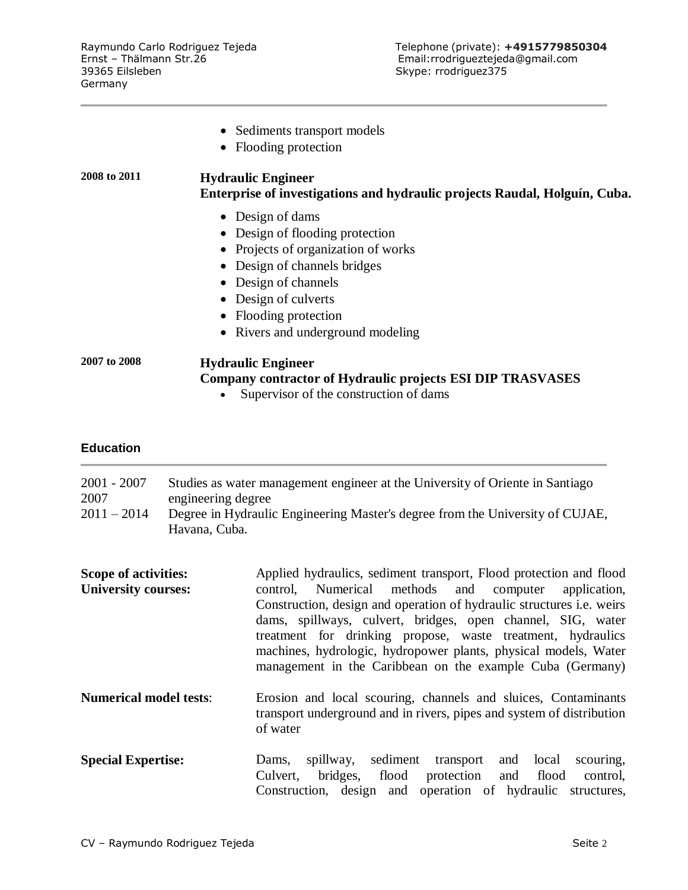|              | • Sediments transport models<br>Flooding protection<br>$\bullet$                                                                               |
|--------------|------------------------------------------------------------------------------------------------------------------------------------------------|
| 2008 to 2011 | <b>Hydraulic Engineer</b><br>Enterprise of investigations and hydraulic projects Raudal, Holguín, Cuba.                                        |
|              | • Design of dams                                                                                                                               |
|              | • Design of flooding protection                                                                                                                |
|              | • Projects of organization of works                                                                                                            |
|              | • Design of channels bridges                                                                                                                   |
|              | • Design of channels                                                                                                                           |
|              | • Design of culverts                                                                                                                           |
|              | • Flooding protection                                                                                                                          |
|              | • Rivers and underground modeling                                                                                                              |
| 2007 to 2008 | <b>Hydraulic Engineer</b><br>Company contractor of Hydraulic projects ESI DIP TRASVASES<br>Supervisor of the construction of dams<br>$\bullet$ |

### **Education**

| $2001 - 2007$ | Studies as water management engineer at the University of Oriente in Santiago |
|---------------|-------------------------------------------------------------------------------|
| 2007          | engineering degree                                                            |
| $2011 - 2014$ | Degree in Hydraulic Engineering Master's degree from the University of CUJAE, |
|               | Havana, Cuba.                                                                 |

| Scope of activities:<br><b>University courses:</b> | Applied hydraulics, sediment transport, Flood protection and flood<br>Numerical methods and computer<br>application,<br>control.<br>Construction, design and operation of hydraulic structures <i>i.e.</i> weirs<br>dams, spillways, culvert, bridges, open channel, SIG, water<br>treatment for drinking propose, waste treatment, hydraulics<br>machines, hydrologic, hydropower plants, physical models, Water<br>management in the Caribbean on the example Cuba (Germany) |
|----------------------------------------------------|--------------------------------------------------------------------------------------------------------------------------------------------------------------------------------------------------------------------------------------------------------------------------------------------------------------------------------------------------------------------------------------------------------------------------------------------------------------------------------|
| <b>Numerical model tests:</b>                      | Erosion and local scouring, channels and sluices, Contaminants<br>transport underground and in rivers, pipes and system of distribution<br>of water                                                                                                                                                                                                                                                                                                                            |
| <b>Special Expertise:</b>                          | sediment<br>transport<br>local<br>scouring,<br>spillway,<br>and<br>Dams,<br>bridges, flood<br>protection<br>Culvert,<br>and<br>flood<br>control,<br>Construction, design and operation of hydraulic<br>structures.                                                                                                                                                                                                                                                             |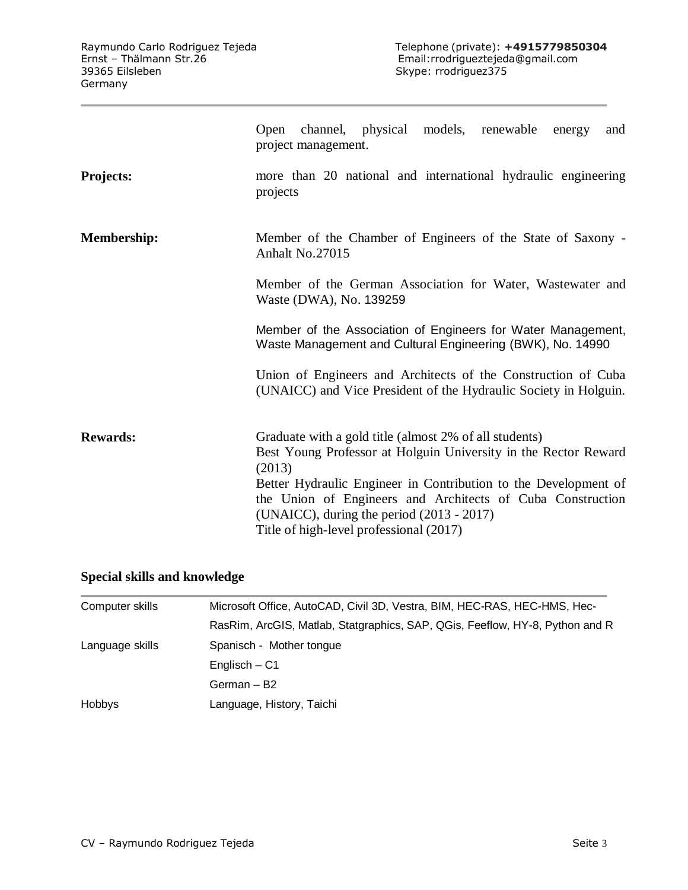|                    | channel, physical models, renewable<br>Open<br>and<br>energy<br>project management.                                                                                                                                                                                                                                                                            |
|--------------------|----------------------------------------------------------------------------------------------------------------------------------------------------------------------------------------------------------------------------------------------------------------------------------------------------------------------------------------------------------------|
| <b>Projects:</b>   | more than 20 national and international hydraulic engineering<br>projects                                                                                                                                                                                                                                                                                      |
| <b>Membership:</b> | Member of the Chamber of Engineers of the State of Saxony -<br>Anhalt No.27015                                                                                                                                                                                                                                                                                 |
|                    | Member of the German Association for Water, Wastewater and<br>Waste (DWA), No. 139259                                                                                                                                                                                                                                                                          |
|                    | Member of the Association of Engineers for Water Management,<br>Waste Management and Cultural Engineering (BWK), No. 14990                                                                                                                                                                                                                                     |
|                    | Union of Engineers and Architects of the Construction of Cuba<br>(UNAICC) and Vice President of the Hydraulic Society in Holguin.                                                                                                                                                                                                                              |
| <b>Rewards:</b>    | Graduate with a gold title (almost 2% of all students)<br>Best Young Professor at Holguin University in the Rector Reward<br>(2013)<br>Better Hydraulic Engineer in Contribution to the Development of<br>the Union of Engineers and Architects of Cuba Construction<br>(UNAICC), during the period $(2013 - 2017)$<br>Title of high-level professional (2017) |

## **Special skills and knowledge**

| Computer skills | Microsoft Office, AutoCAD, Civil 3D, Vestra, BIM, HEC-RAS, HEC-HMS, Hec-     |
|-----------------|------------------------------------------------------------------------------|
|                 | RasRim, ArcGIS, Matlab, Statgraphics, SAP, QGis, Feeflow, HY-8, Python and R |
| Language skills | Spanisch - Mother tongue                                                     |
|                 | Englisch – C1                                                                |
|                 | German - B2                                                                  |
| <b>Hobbys</b>   | Language, History, Taichi                                                    |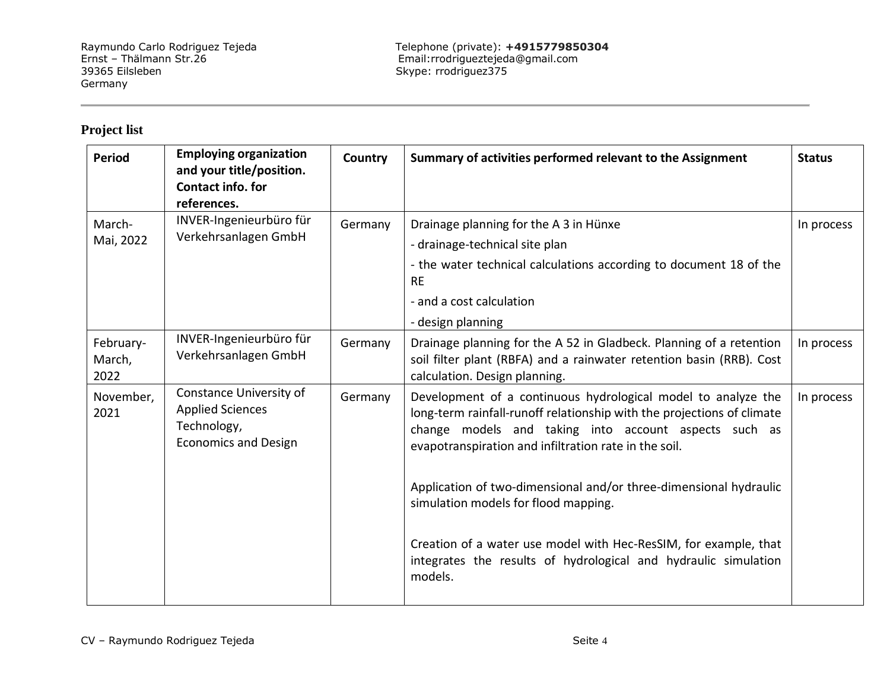## **Project list**

| <b>Period</b>               | <b>Employing organization</b><br>and your title/position.<br>Contact info. for<br>references.    | Country | Summary of activities performed relevant to the Assignment                                                                                                                                                                                                                                                                                                             | <b>Status</b> |
|-----------------------------|--------------------------------------------------------------------------------------------------|---------|------------------------------------------------------------------------------------------------------------------------------------------------------------------------------------------------------------------------------------------------------------------------------------------------------------------------------------------------------------------------|---------------|
| March-<br>Mai, 2022         | INVER-Ingenieurbüro für<br>Verkehrsanlagen GmbH                                                  | Germany | Drainage planning for the A 3 in Hünxe<br>- drainage-technical site plan<br>- the water technical calculations according to document 18 of the<br><b>RE</b><br>- and a cost calculation<br>- design planning                                                                                                                                                           | In process    |
| February-<br>March,<br>2022 | INVER-Ingenieurbüro für<br>Verkehrsanlagen GmbH                                                  | Germany | Drainage planning for the A 52 in Gladbeck. Planning of a retention<br>soil filter plant (RBFA) and a rainwater retention basin (RRB). Cost<br>calculation. Design planning.                                                                                                                                                                                           | In process    |
| November,<br>2021           | Constance University of<br><b>Applied Sciences</b><br>Technology,<br><b>Economics and Design</b> | Germany | Development of a continuous hydrological model to analyze the<br>long-term rainfall-runoff relationship with the projections of climate<br>change models and taking into account aspects such as<br>evapotranspiration and infiltration rate in the soil.<br>Application of two-dimensional and/or three-dimensional hydraulic<br>simulation models for flood mapping. | In process    |
|                             |                                                                                                  |         | Creation of a water use model with Hec-ResSIM, for example, that<br>integrates the results of hydrological and hydraulic simulation<br>models.                                                                                                                                                                                                                         |               |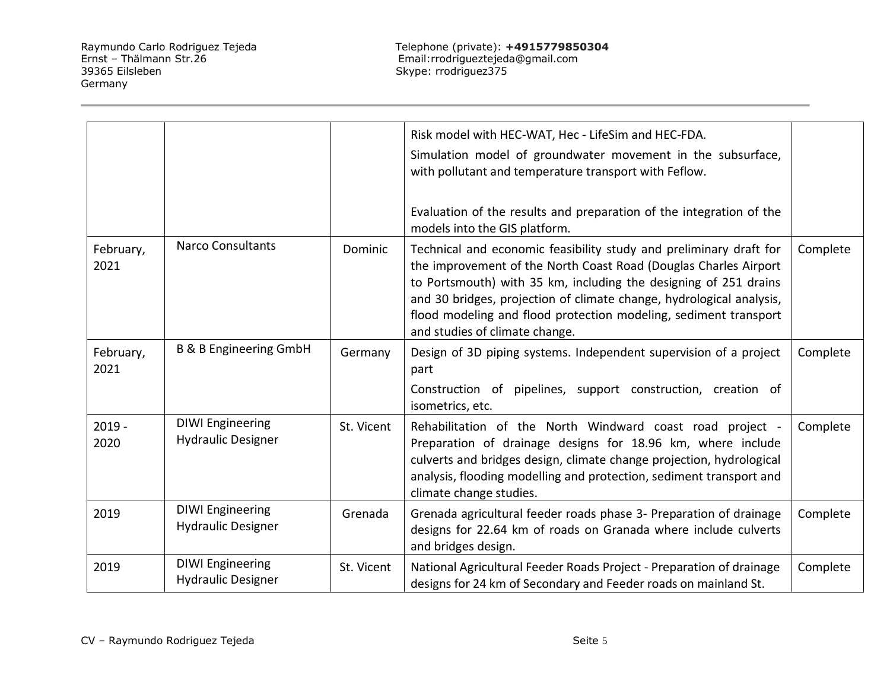|                   |                                                      |            | Risk model with HEC-WAT, Hec - LifeSim and HEC-FDA.                                                                                                                                                                                                                                                                                                                                      |          |
|-------------------|------------------------------------------------------|------------|------------------------------------------------------------------------------------------------------------------------------------------------------------------------------------------------------------------------------------------------------------------------------------------------------------------------------------------------------------------------------------------|----------|
|                   |                                                      |            | Simulation model of groundwater movement in the subsurface,<br>with pollutant and temperature transport with Feflow.                                                                                                                                                                                                                                                                     |          |
|                   |                                                      |            | Evaluation of the results and preparation of the integration of the<br>models into the GIS platform.                                                                                                                                                                                                                                                                                     |          |
| February,<br>2021 | <b>Narco Consultants</b>                             | Dominic    | Technical and economic feasibility study and preliminary draft for<br>the improvement of the North Coast Road (Douglas Charles Airport<br>to Portsmouth) with 35 km, including the designing of 251 drains<br>and 30 bridges, projection of climate change, hydrological analysis,<br>flood modeling and flood protection modeling, sediment transport<br>and studies of climate change. | Complete |
| February,<br>2021 | <b>B &amp; B Engineering GmbH</b>                    | Germany    | Design of 3D piping systems. Independent supervision of a project<br>part                                                                                                                                                                                                                                                                                                                | Complete |
|                   |                                                      |            | Construction of pipelines, support construction, creation of<br>isometrics, etc.                                                                                                                                                                                                                                                                                                         |          |
| $2019 -$<br>2020  | <b>DIWI Engineering</b><br><b>Hydraulic Designer</b> | St. Vicent | Rehabilitation of the North Windward coast road project -<br>Preparation of drainage designs for 18.96 km, where include<br>culverts and bridges design, climate change projection, hydrological<br>analysis, flooding modelling and protection, sediment transport and<br>climate change studies.                                                                                       | Complete |
| 2019              | <b>DIWI Engineering</b><br><b>Hydraulic Designer</b> | Grenada    | Grenada agricultural feeder roads phase 3- Preparation of drainage<br>designs for 22.64 km of roads on Granada where include culverts<br>and bridges design.                                                                                                                                                                                                                             | Complete |
| 2019              | <b>DIWI Engineering</b><br><b>Hydraulic Designer</b> | St. Vicent | National Agricultural Feeder Roads Project - Preparation of drainage<br>designs for 24 km of Secondary and Feeder roads on mainland St.                                                                                                                                                                                                                                                  | Complete |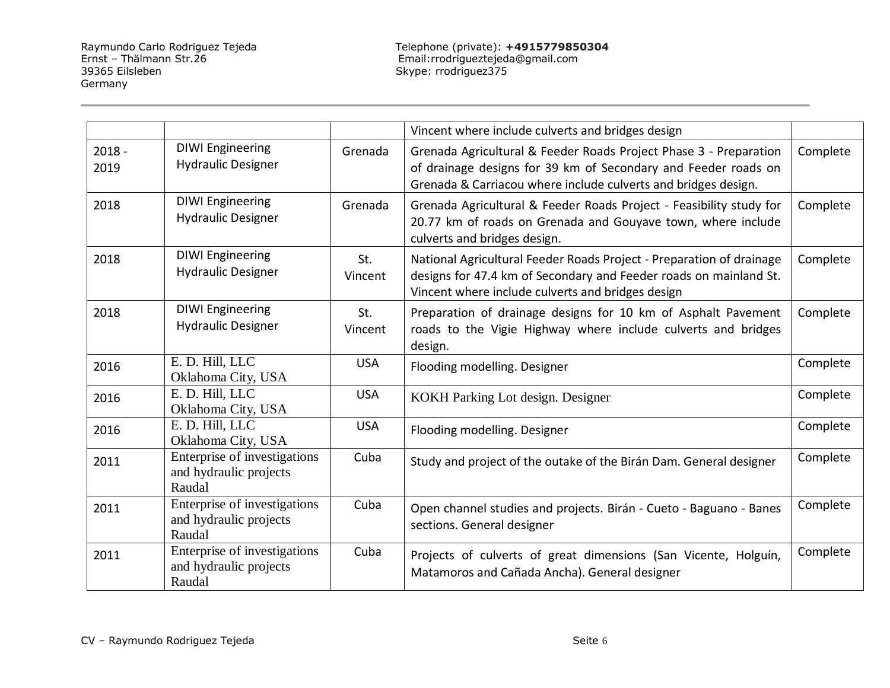|                  |                                                                  |                | Vincent where include culverts and bridges design                                                                                                                                                     |          |
|------------------|------------------------------------------------------------------|----------------|-------------------------------------------------------------------------------------------------------------------------------------------------------------------------------------------------------|----------|
| $2018 -$<br>2019 | <b>DIWI Engineering</b><br><b>Hydraulic Designer</b>             | Grenada        | Grenada Agricultural & Feeder Roads Project Phase 3 - Preparation<br>of drainage designs for 39 km of Secondary and Feeder roads on<br>Grenada & Carriacou where include culverts and bridges design. | Complete |
| 2018             | <b>DIWI Engineering</b><br><b>Hydraulic Designer</b>             | Grenada        | Grenada Agricultural & Feeder Roads Project - Feasibility study for<br>20.77 km of roads on Grenada and Gouyave town, where include<br>culverts and bridges design.                                   | Complete |
| 2018             | <b>DIWI Engineering</b><br><b>Hydraulic Designer</b>             | St.<br>Vincent | National Agricultural Feeder Roads Project - Preparation of drainage<br>designs for 47.4 km of Secondary and Feeder roads on mainland St.<br>Vincent where include culverts and bridges design        | Complete |
| 2018             | <b>DIWI Engineering</b><br><b>Hydraulic Designer</b>             | St.<br>Vincent | Preparation of drainage designs for 10 km of Asphalt Pavement<br>roads to the Vigie Highway where include culverts and bridges<br>design.                                                             | Complete |
| 2016             | E. D. Hill, LLC<br>Oklahoma City, USA                            | <b>USA</b>     | Flooding modelling. Designer                                                                                                                                                                          | Complete |
| 2016             | E. D. Hill, LLC<br>Oklahoma City, USA                            | <b>USA</b>     | KOKH Parking Lot design. Designer                                                                                                                                                                     | Complete |
| 2016             | E. D. Hill, LLC<br>Oklahoma City, USA                            | <b>USA</b>     | Flooding modelling. Designer                                                                                                                                                                          | Complete |
| 2011             | Enterprise of investigations<br>and hydraulic projects<br>Raudal | Cuba           | Study and project of the outake of the Birán Dam. General designer                                                                                                                                    | Complete |
| 2011             | Enterprise of investigations<br>and hydraulic projects<br>Raudal | Cuba           | Open channel studies and projects. Birán - Cueto - Baguano - Banes<br>sections. General designer                                                                                                      | Complete |
| 2011             | Enterprise of investigations<br>and hydraulic projects<br>Raudal | Cuba           | Projects of culverts of great dimensions (San Vicente, Holguín,<br>Matamoros and Cañada Ancha). General designer                                                                                      | Complete |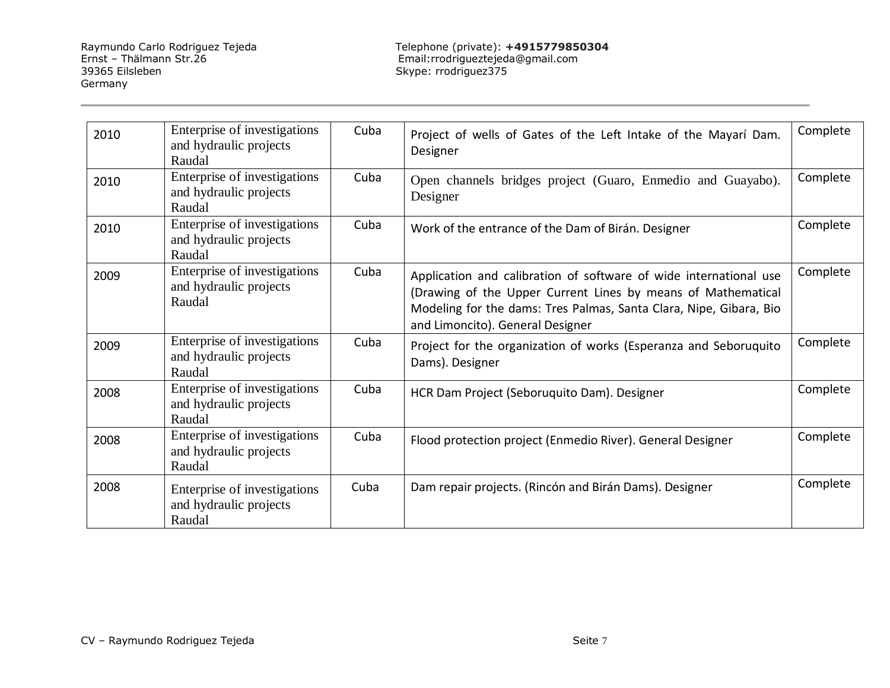Raymundo Carlo Rodriguez Tejeda Telephone (private): **+4915779850304** Ernst – Thälmann Str.26 Email:rrodrigueztejeda@gmail.com

| 2010 | Enterprise of investigations<br>and hydraulic projects<br>Raudal | Cuba | Project of wells of Gates of the Left Intake of the Mayarí Dam.<br>Designer                                                                                                                                                                 | Complete |
|------|------------------------------------------------------------------|------|---------------------------------------------------------------------------------------------------------------------------------------------------------------------------------------------------------------------------------------------|----------|
| 2010 | Enterprise of investigations<br>and hydraulic projects<br>Raudal | Cuba | Open channels bridges project (Guaro, Enmedio and Guayabo).<br>Designer                                                                                                                                                                     | Complete |
| 2010 | Enterprise of investigations<br>and hydraulic projects<br>Raudal | Cuba | Work of the entrance of the Dam of Birán. Designer                                                                                                                                                                                          | Complete |
| 2009 | Enterprise of investigations<br>and hydraulic projects<br>Raudal | Cuba | Application and calibration of software of wide international use<br>(Drawing of the Upper Current Lines by means of Mathematical<br>Modeling for the dams: Tres Palmas, Santa Clara, Nipe, Gibara, Bio<br>and Limoncito). General Designer | Complete |
| 2009 | Enterprise of investigations<br>and hydraulic projects<br>Raudal | Cuba | Project for the organization of works (Esperanza and Seboruquito<br>Dams). Designer                                                                                                                                                         | Complete |
| 2008 | Enterprise of investigations<br>and hydraulic projects<br>Raudal | Cuba | HCR Dam Project (Seboruquito Dam). Designer                                                                                                                                                                                                 | Complete |
| 2008 | Enterprise of investigations<br>and hydraulic projects<br>Raudal | Cuba | Flood protection project (Enmedio River). General Designer                                                                                                                                                                                  | Complete |
| 2008 | Enterprise of investigations<br>and hydraulic projects<br>Raudal | Cuba | Dam repair projects. (Rincón and Birán Dams). Designer                                                                                                                                                                                      | Complete |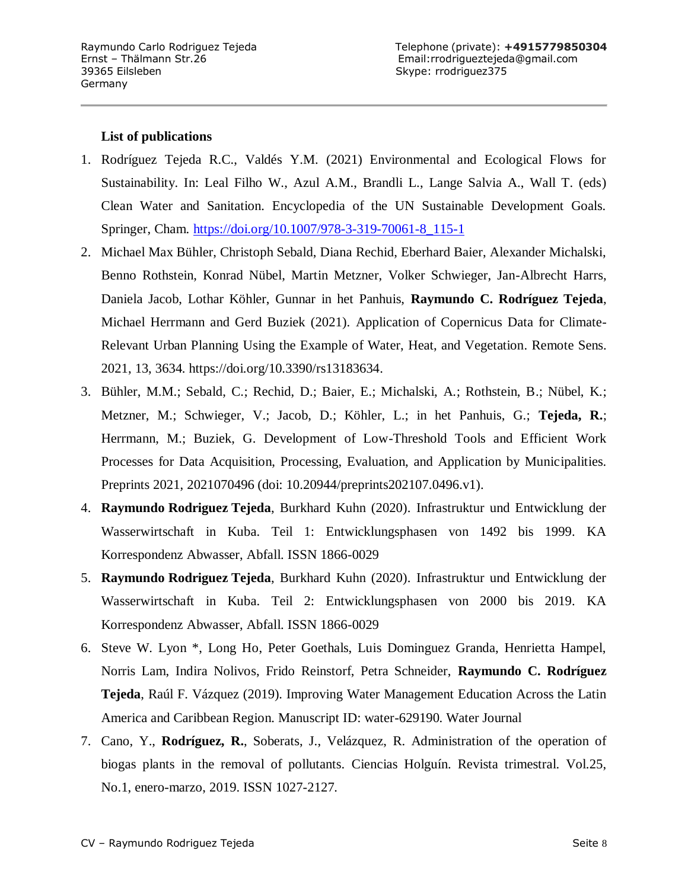#### **List of publications**

- 1. Rodríguez Tejeda R.C., Valdés Y.M. (2021) Environmental and Ecological Flows for Sustainability. In: Leal Filho W., Azul A.M., Brandli L., Lange Salvia A., Wall T. (eds) Clean Water and Sanitation. Encyclopedia of the UN Sustainable Development Goals. Springer, Cham. [https://doi.org/10.1007/978-3-319-70061-8\\_115-1](https://doi.org/10.1007/978-3-319-70061-8_115-1)
- 2. Michael Max Bühler, Christoph Sebald, Diana Rechid, Eberhard Baier, Alexander Michalski, Benno Rothstein, Konrad Nübel, Martin Metzner, Volker Schwieger, Jan-Albrecht Harrs, Daniela Jacob, Lothar Köhler, Gunnar in het Panhuis, **Raymundo C. Rodríguez Tejeda**, Michael Herrmann and Gerd Buziek (2021). Application of Copernicus Data for Climate-Relevant Urban Planning Using the Example of Water, Heat, and Vegetation. Remote Sens. 2021, 13, 3634. https://doi.org/10.3390/rs13183634.
- 3. Bühler, M.M.; Sebald, C.; Rechid, D.; Baier, E.; Michalski, A.; Rothstein, B.; Nübel, K.; Metzner, M.; Schwieger, V.; Jacob, D.; Köhler, L.; in het Panhuis, G.; **Tejeda, R.**; Herrmann, M.; Buziek, G. Development of Low-Threshold Tools and Efficient Work Processes for Data Acquisition, Processing, Evaluation, and Application by Municipalities. Preprints 2021, 2021070496 (doi: 10.20944/preprints202107.0496.v1).
- 4. **Raymundo Rodriguez Tejeda**, Burkhard Kuhn (2020). Infrastruktur und Entwicklung der Wasserwirtschaft in Kuba. Teil 1: Entwicklungsphasen von 1492 bis 1999. KA Korrespondenz Abwasser, Abfall. ISSN 1866-0029
- 5. **Raymundo Rodriguez Tejeda**, Burkhard Kuhn (2020). Infrastruktur und Entwicklung der Wasserwirtschaft in Kuba. Teil 2: Entwicklungsphasen von 2000 bis 2019. KA Korrespondenz Abwasser, Abfall. ISSN 1866-0029
- 6. Steve W. Lyon \*, Long Ho, Peter Goethals, Luis Dominguez Granda, Henrietta Hampel, Norris Lam, Indira Nolivos, Frido Reinstorf, Petra Schneider, **Raymundo C. Rodríguez Tejeda**, Raúl F. Vázquez (2019). Improving Water Management Education Across the Latin America and Caribbean Region. Manuscript ID: water-629190. Water Journal
- 7. Cano, Y., **Rodríguez, R.**, Soberats, J., Velázquez, R. Administration of the operation of biogas plants in the removal of pollutants. Ciencias Holguín. Revista trimestral. Vol.25, No.1, enero-marzo, 2019. ISSN 1027-2127.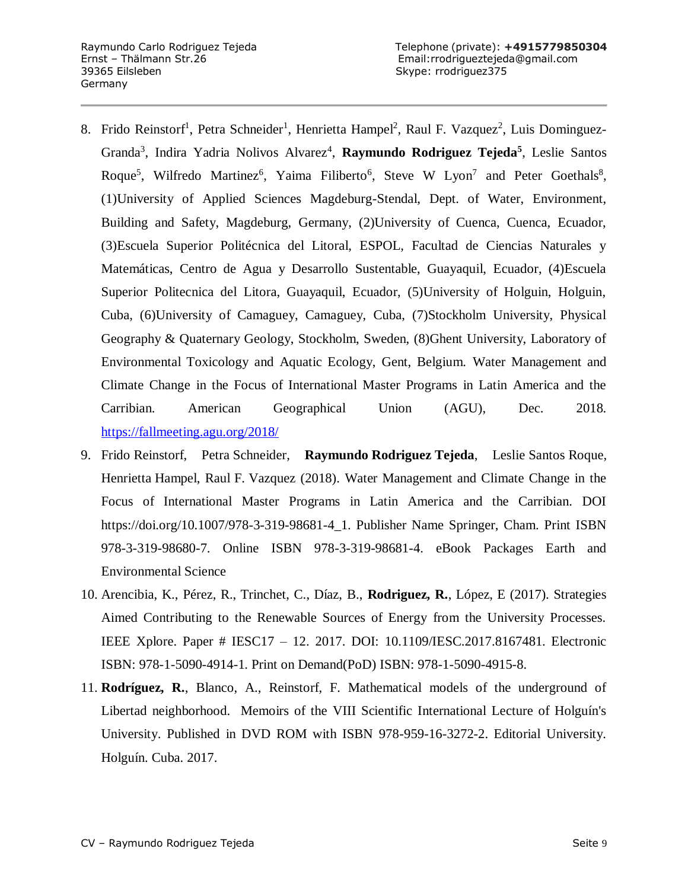- 8. Frido Reinstorf<sup>1</sup>, Petra Schneider<sup>1</sup>, Henrietta Hampel<sup>2</sup>, Raul F. Vazquez<sup>2</sup>, Luis Dominguez-Granda<sup>3</sup>, Indira Yadria Nolivos Alvarez<sup>4</sup>, **Raymundo Rodriguez Tejeda<sup>5</sup>, Leslie Santos** Roque<sup>5</sup>, Wilfredo Martinez<sup>6</sup>, Yaima Filiberto<sup>6</sup>, Steve W Lyon<sup>7</sup> and Peter Goethals<sup>8</sup>, (1)University of Applied Sciences Magdeburg-Stendal, Dept. of Water, Environment, Building and Safety, Magdeburg, Germany, (2)University of Cuenca, Cuenca, Ecuador, (3)Escuela Superior Politécnica del Litoral, ESPOL, Facultad de Ciencias Naturales y Matemáticas, Centro de Agua y Desarrollo Sustentable, Guayaquil, Ecuador, (4)Escuela Superior Politecnica del Litora, Guayaquil, Ecuador, (5)University of Holguin, Holguin, Cuba, (6)University of Camaguey, Camaguey, Cuba, (7)Stockholm University, Physical Geography & Quaternary Geology, Stockholm, Sweden, (8)Ghent University, Laboratory of Environmental Toxicology and Aquatic Ecology, Gent, Belgium. Water Management and Climate Change in the Focus of International Master Programs in Latin America and the Carribian. American Geographical Union (AGU), Dec. 2018. <https://fallmeeting.agu.org/2018/>
- 9. Frido Reinstorf, Petra Schneider, **Raymundo Rodriguez Tejeda**, Leslie Santos Roque, Henrietta Hampel, Raul F. Vazquez (2018). Water Management and Climate Change in the Focus of International Master Programs in Latin America and the Carribian. DOI https://doi.org/10.1007/978-3-319-98681-4\_1. Publisher Name Springer, Cham. Print ISBN 978-3-319-98680-7. Online ISBN 978-3-319-98681-4. eBook Packages Earth and Environmental Science
- 10. Arencibia, K., Pérez, R., Trinchet, C., Díaz, B., **Rodriguez, R.**, López, E (2017). Strategies Aimed Contributing to the Renewable Sources of Energy from the University Processes. IEEE Xplore. Paper # IESC17 – 12. 2017. DOI: 10.1109/IESC.2017.8167481. Electronic ISBN: 978-1-5090-4914-1. Print on Demand(PoD) ISBN: 978-1-5090-4915-8.
- 11. **Rodríguez, R.**, Blanco, A., Reinstorf, F. Mathematical models of the underground of Libertad neighborhood. Memoirs of the VIII Scientific International Lecture of Holguín's University. Published in DVD ROM with ISBN 978-959-16-3272-2. Editorial University. Holguín. Cuba. 2017.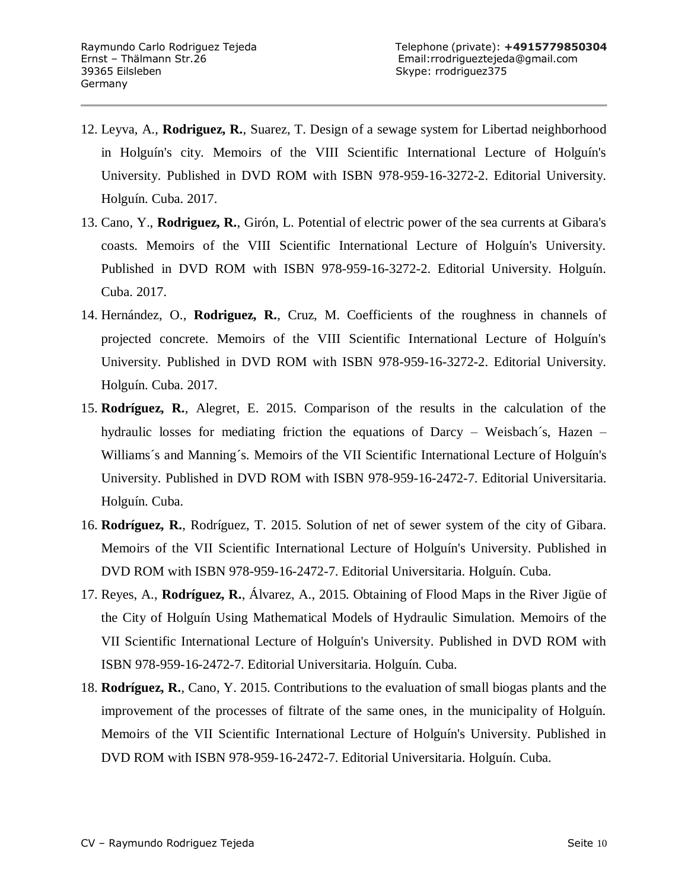- 12. Leyva, A., **Rodriguez, R.**, Suarez, T. Design of a sewage system for Libertad neighborhood in Holguín's city. Memoirs of the VIII Scientific International Lecture of Holguín's University. Published in DVD ROM with ISBN 978-959-16-3272-2. Editorial University. Holguín. Cuba. 2017.
- 13. Cano, Y., **Rodriguez, R.**, Girón, L. Potential of electric power of the sea currents at Gibara's coasts. Memoirs of the VIII Scientific International Lecture of Holguín's University. Published in DVD ROM with ISBN 978-959-16-3272-2. Editorial University. Holguín. Cuba. 2017.
- 14. Hernández, O., **Rodriguez, R.**, Cruz, M. Coefficients of the roughness in channels of projected concrete. Memoirs of the VIII Scientific International Lecture of Holguín's University. Published in DVD ROM with ISBN 978-959-16-3272-2. Editorial University. Holguín. Cuba. 2017.
- 15. **Rodríguez, R.**, Alegret, E. 2015. Comparison of the results in the calculation of the hydraulic losses for mediating friction the equations of Darcy – Weisbach´s, Hazen – Williams´s and Manning´s. Memoirs of the VII Scientific International Lecture of Holguín's University. Published in DVD ROM with ISBN 978-959-16-2472-7. Editorial Universitaria. Holguín. Cuba.
- 16. **Rodríguez, R.**, Rodríguez, T. 2015. Solution of net of sewer system of the city of Gibara. Memoirs of the VII Scientific International Lecture of Holguín's University. Published in DVD ROM with ISBN 978-959-16-2472-7. Editorial Universitaria. Holguín. Cuba.
- 17. Reyes, A., **Rodríguez, R.**, Álvarez, A., 2015. Obtaining of Flood Maps in the River Jigüe of the City of Holguín Using Mathematical Models of Hydraulic Simulation. Memoirs of the VII Scientific International Lecture of Holguín's University. Published in DVD ROM with ISBN 978-959-16-2472-7. Editorial Universitaria. Holguín. Cuba.
- 18. **Rodríguez, R.**, Cano, Y. 2015. Contributions to the evaluation of small biogas plants and the improvement of the processes of filtrate of the same ones, in the municipality of Holguín. Memoirs of the VII Scientific International Lecture of Holguín's University. Published in DVD ROM with ISBN 978-959-16-2472-7. Editorial Universitaria. Holguín. Cuba.